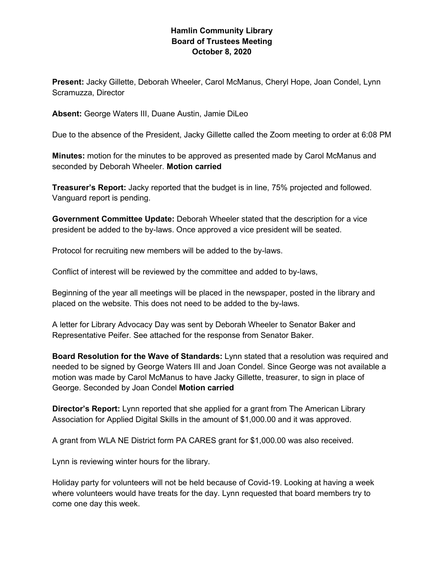## **Hamlin Community Library Board of Trustees Meeting October 8, 2020**

**Present:** Jacky Gillette, Deborah Wheeler, Carol McManus, Cheryl Hope, Joan Condel, Lynn Scramuzza, Director

**Absent:** George Waters III, Duane Austin, Jamie DiLeo

Due to the absence of the President, Jacky Gillette called the Zoom meeting to order at 6:08 PM

**Minutes:** motion for the minutes to be approved as presented made by Carol McManus and seconded by Deborah Wheeler. **Motion carried**

**Treasurer's Report:** Jacky reported that the budget is in line, 75% projected and followed. Vanguard report is pending.

**Government Committee Update:** Deborah Wheeler stated that the description for a vice president be added to the by-laws. Once approved a vice president will be seated.

Protocol for recruiting new members will be added to the by-laws.

Conflict of interest will be reviewed by the committee and added to by-laws,

Beginning of the year all meetings will be placed in the newspaper, posted in the library and placed on the website. This does not need to be added to the by-laws.

A letter for Library Advocacy Day was sent by Deborah Wheeler to Senator Baker and Representative Peifer. See attached for the response from Senator Baker.

**Board Resolution for the Wave of Standards:** Lynn stated that a resolution was required and needed to be signed by George Waters III and Joan Condel. Since George was not available a motion was made by Carol McManus to have Jacky Gillette, treasurer, to sign in place of George. Seconded by Joan Condel **Motion carried**

**Director's Report:** Lynn reported that she applied for a grant from The American Library Association for Applied Digital Skills in the amount of \$1,000.00 and it was approved.

A grant from WLA NE District form PA CARES grant for \$1,000.00 was also received.

Lynn is reviewing winter hours for the library.

Holiday party for volunteers will not be held because of Covid-19. Looking at having a week where volunteers would have treats for the day. Lynn requested that board members try to come one day this week.